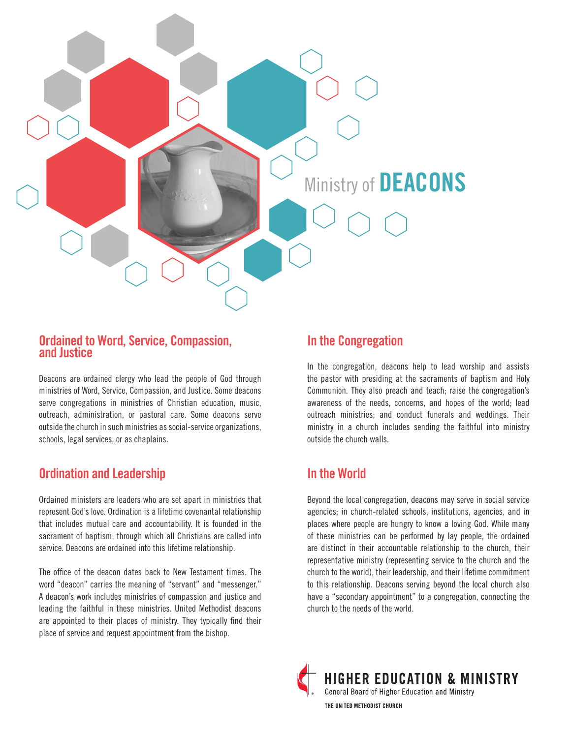

#### **Ordained to Word, Service, Compassion, and Justice**

Deacons are ordained clergy who lead the people of God through ministries of Word, Service, Compassion, and Justice. Some deacons serve congregations in ministries of Christian education, music, outreach, administration, or pastoral care. Some deacons serve outside the church in such ministries as social-service organizations, schools, legal services, or as chaplains.

# **Ordination and Leadership**

Ordained ministers are leaders who are set apart in ministries that represent God's love. Ordination is a lifetime covenantal relationship that includes mutual care and accountability. It is founded in the sacrament of baptism, through which all Christians are called into service. Deacons are ordained into this lifetime relationship.

The office of the deacon dates back to New Testament times. The word "deacon" carries the meaning of "servant" and "messenger." A deacon's work includes ministries of compassion and justice and leading the faithful in these ministries. United Methodist deacons are appointed to their places of ministry. They typically find their place of service and request appointment from the bishop.

## **In the Congregation**

In the congregation, deacons help to lead worship and assists the pastor with presiding at the sacraments of baptism and Holy Communion. They also preach and teach; raise the congregation's awareness of the needs, concerns, and hopes of the world; lead outreach ministries; and conduct funerals and weddings. Their ministry in a church includes sending the faithful into ministry outside the church walls.

# **In the World**

Beyond the local congregation, deacons may serve in social service agencies; in church-related schools, institutions, agencies, and in places where people are hungry to know a loving God. While many of these ministries can be performed by lay people, the ordained are distinct in their accountable relationship to the church, their representative ministry (representing service to the church and the church to the world), their leadership, and their lifetime commitment to this relationship. Deacons serving beyond the local church also have a "secondary appointment" to a congregation, connecting the church to the needs of the world.